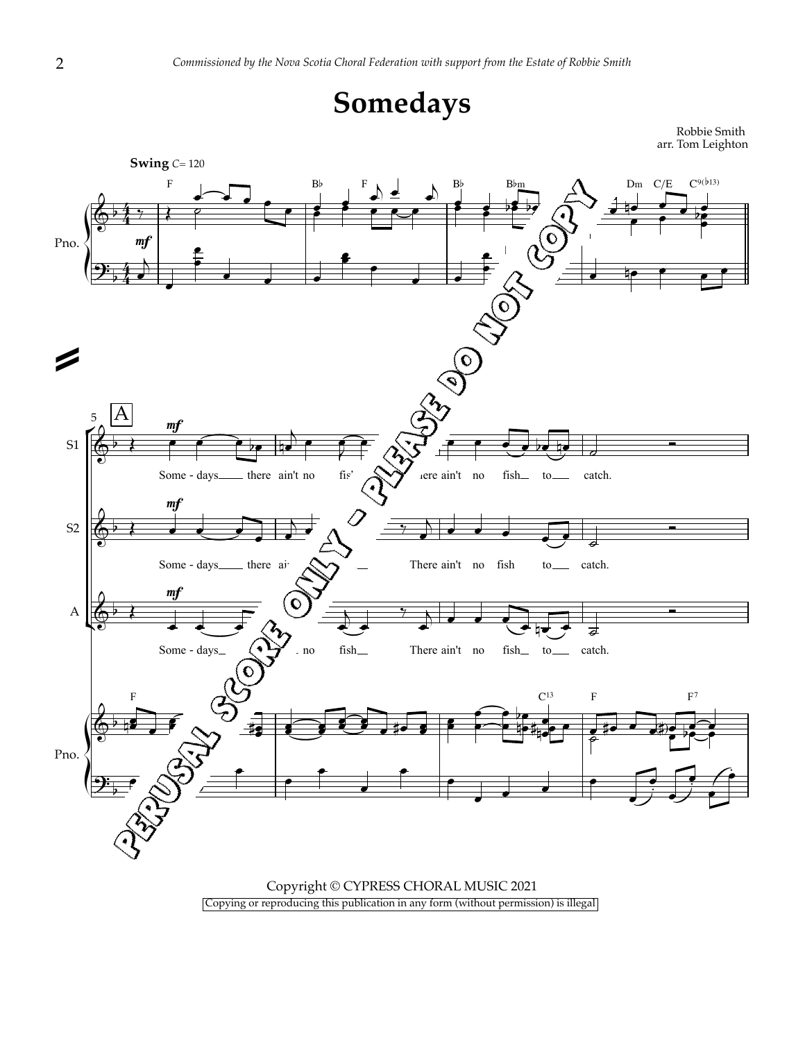Somedays



Copyright © CYPRESS CHORAL MUSIC 2021 Copying or reproducing this publication in any form (without permission) is illegal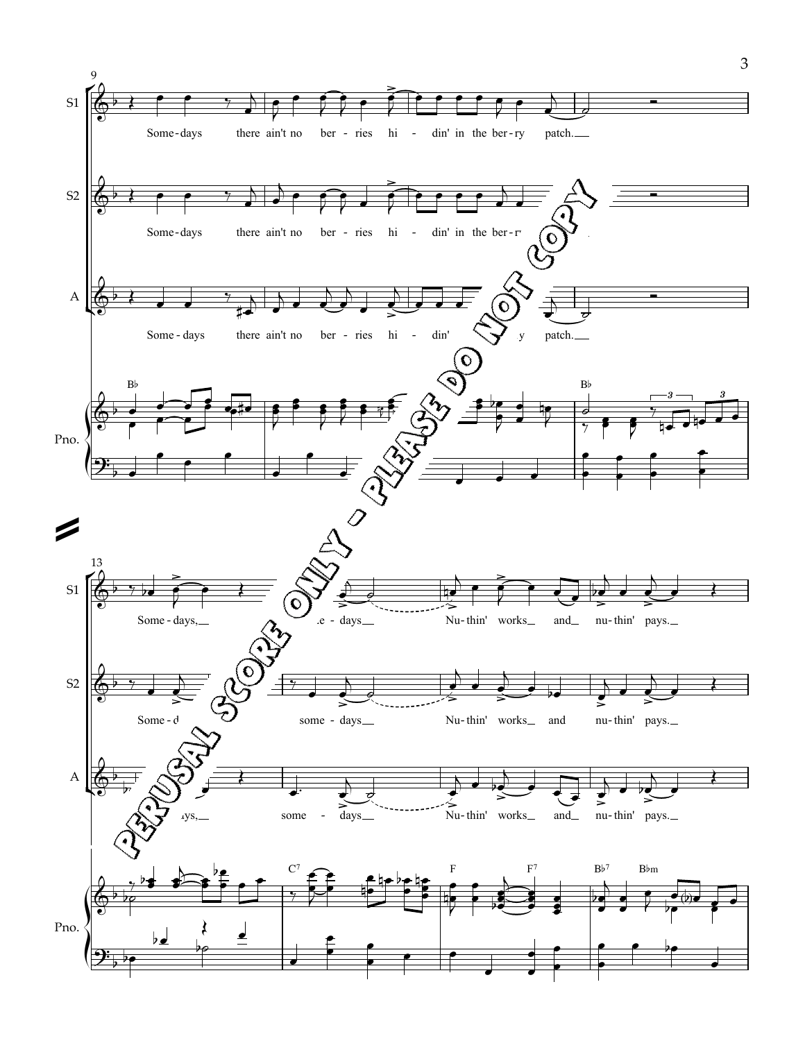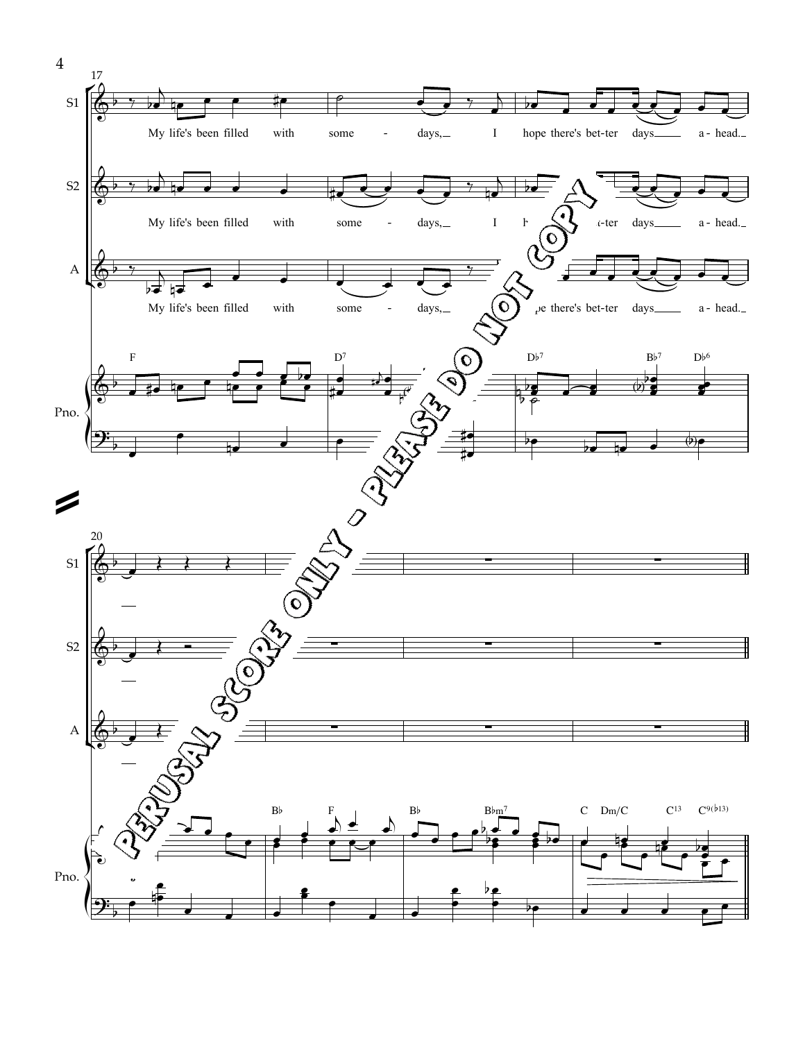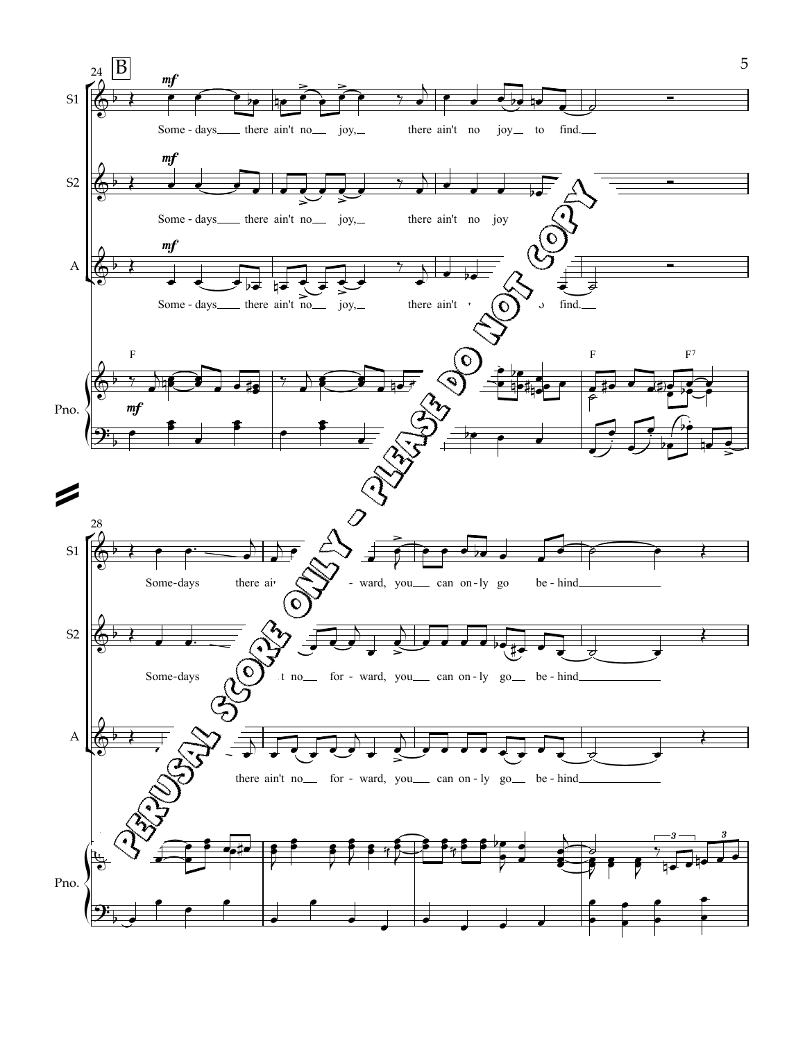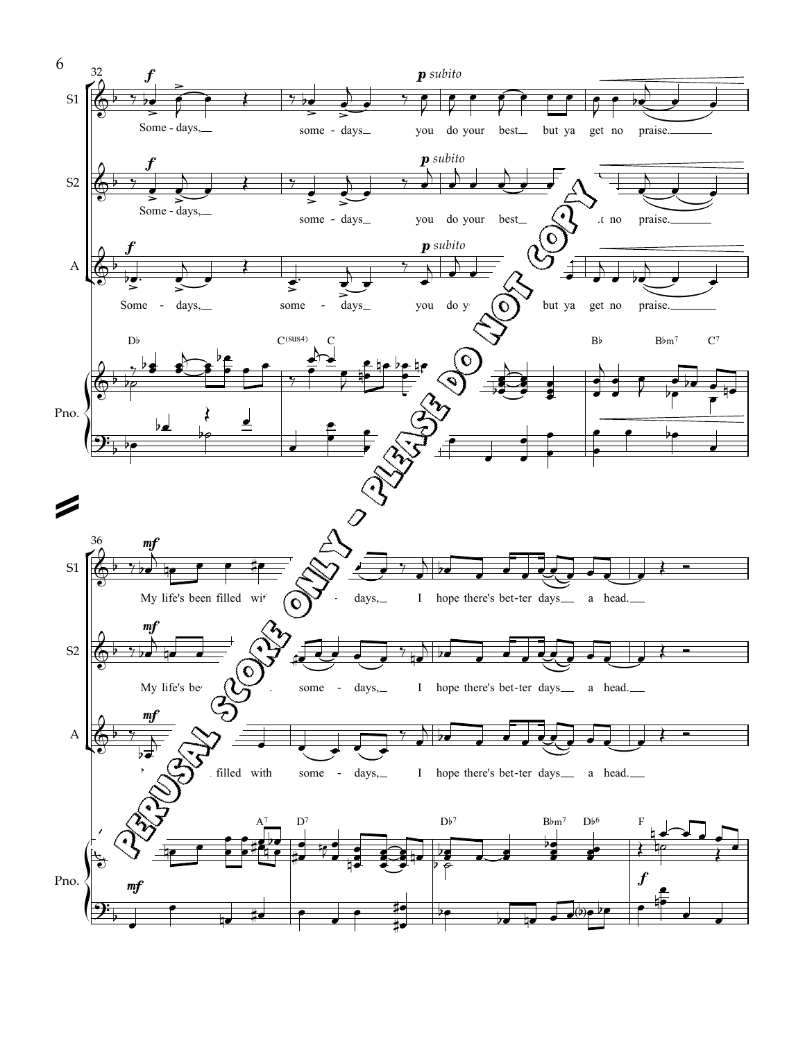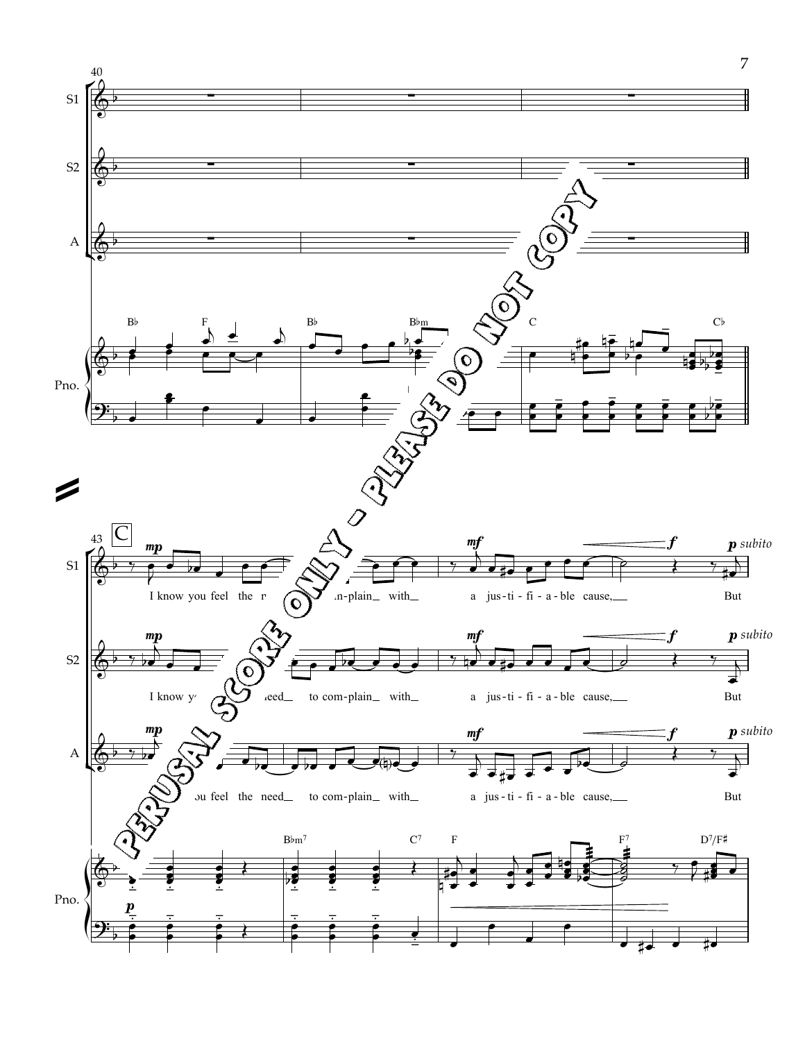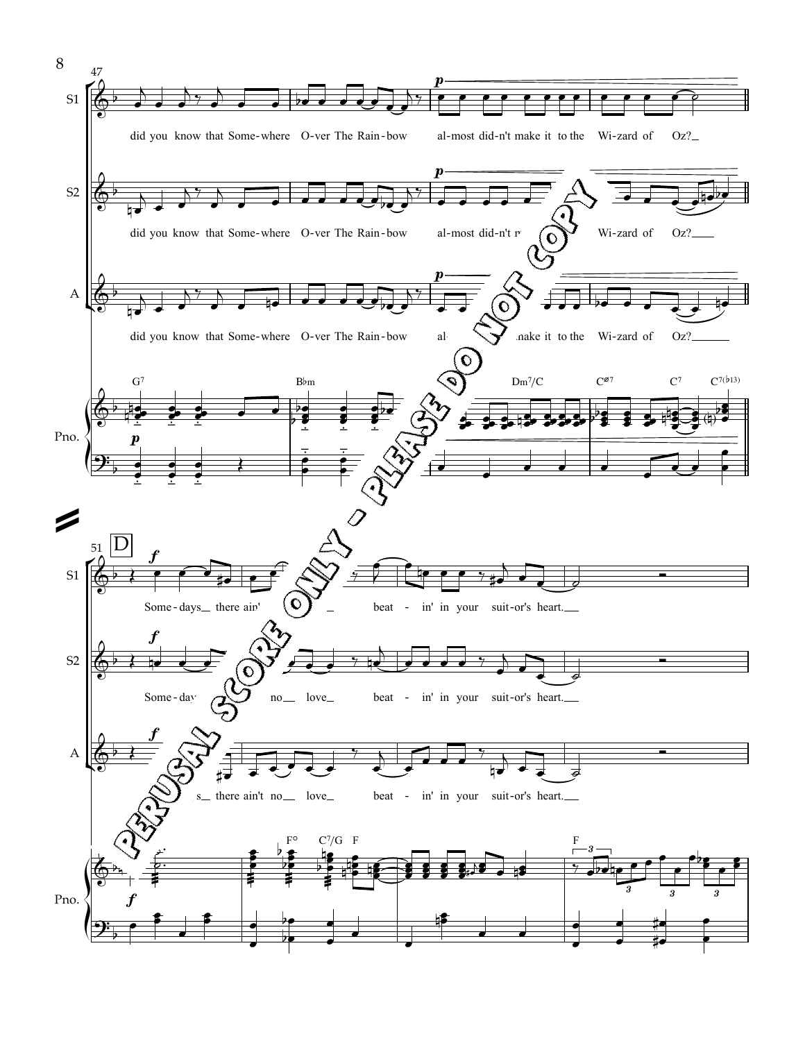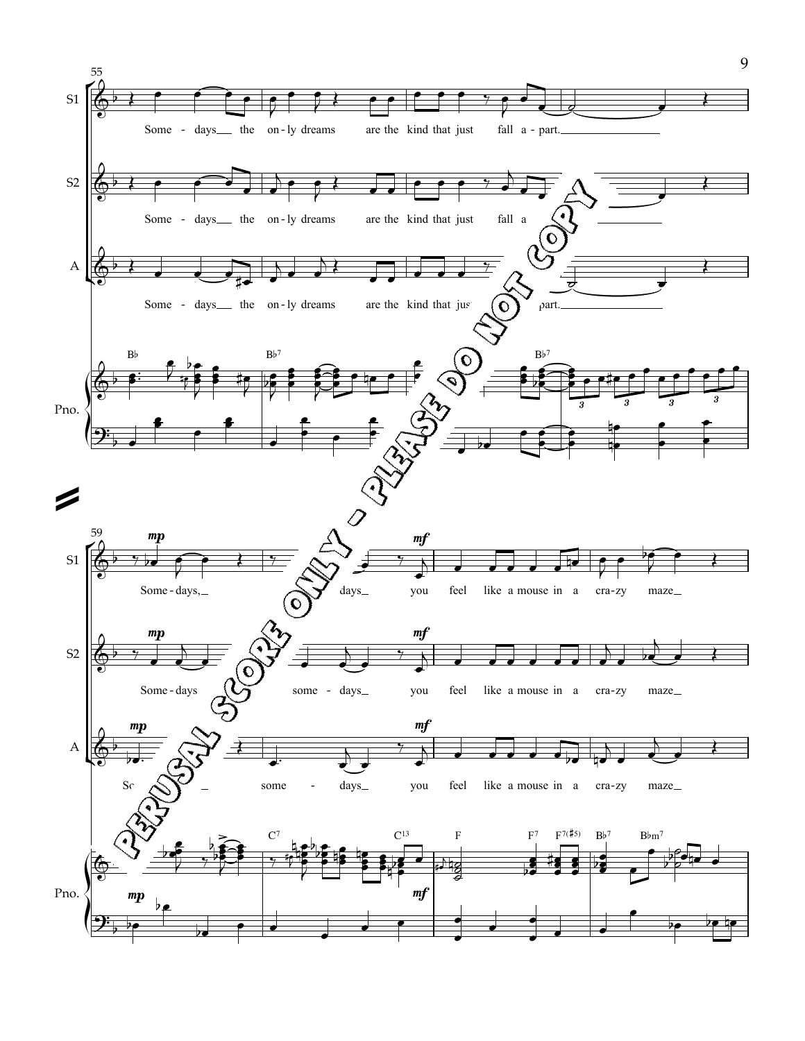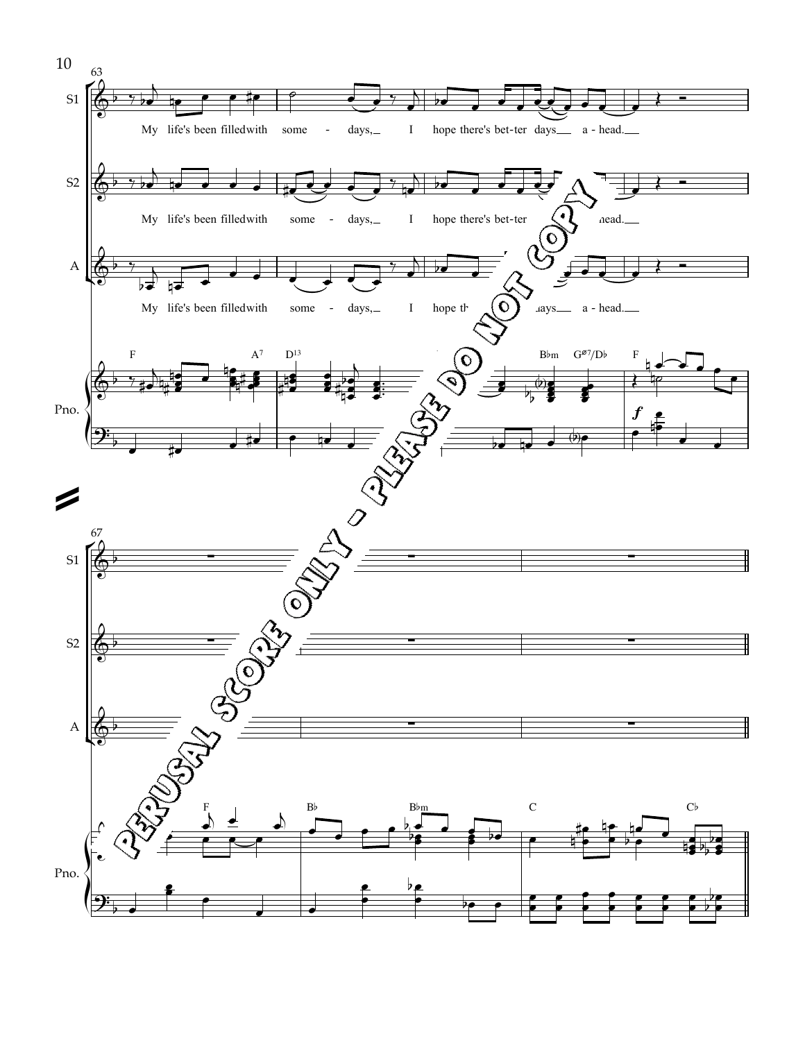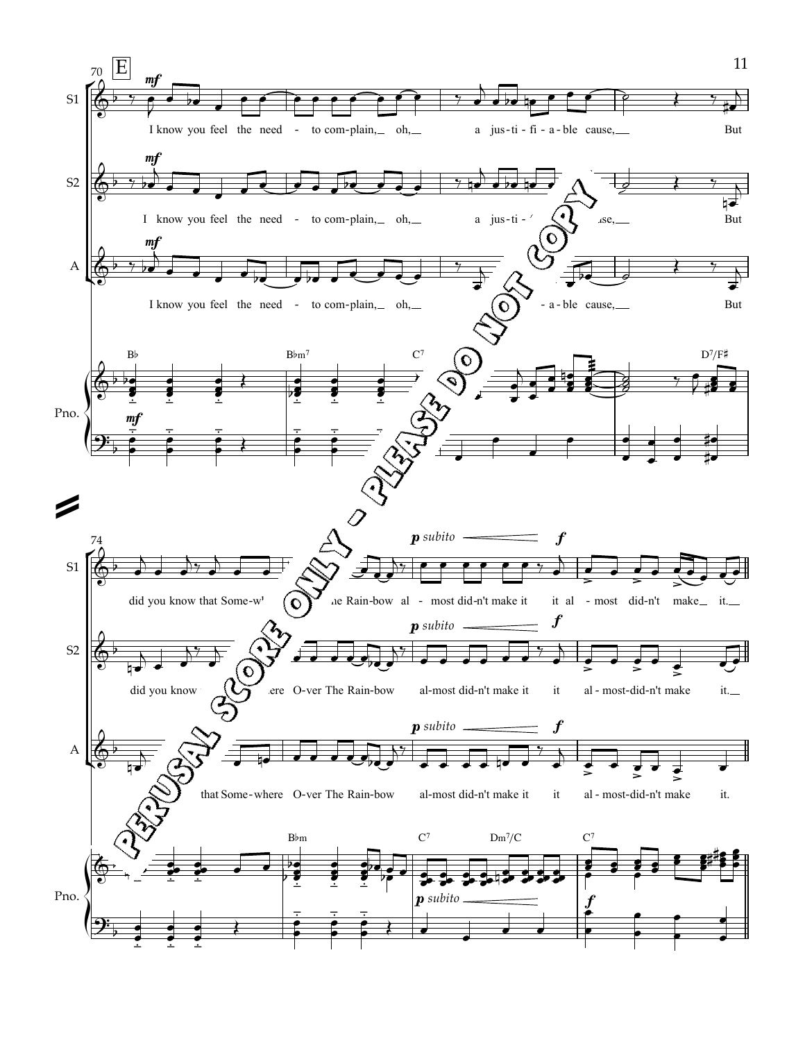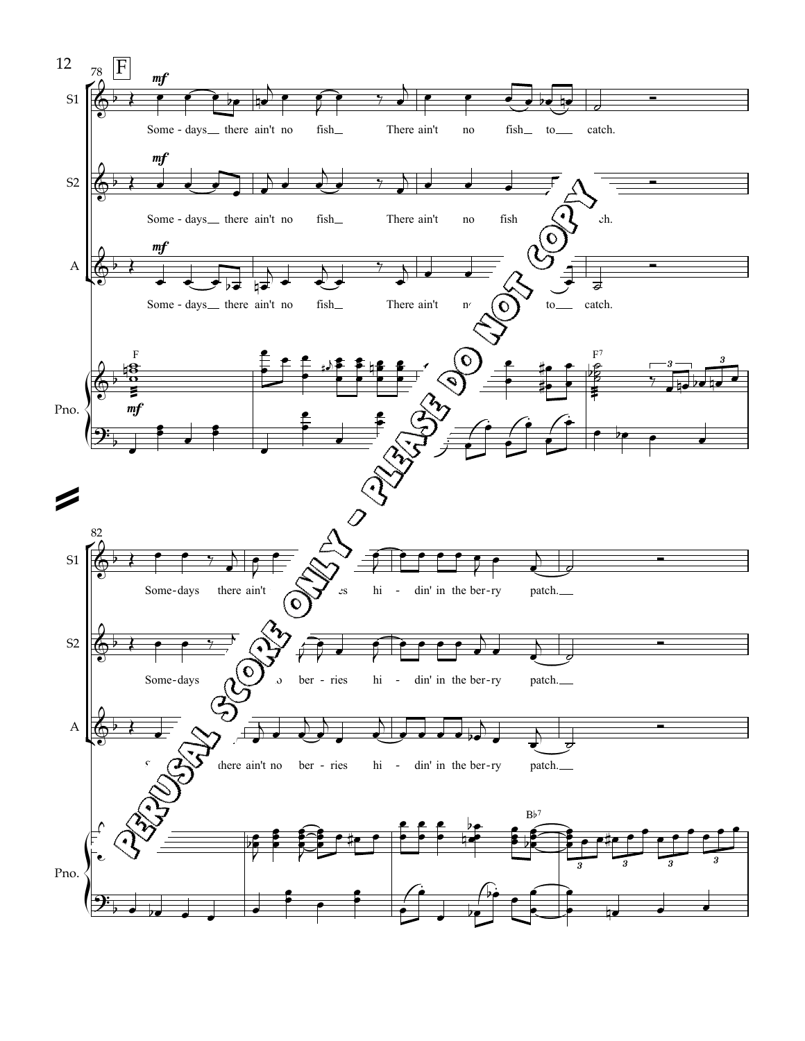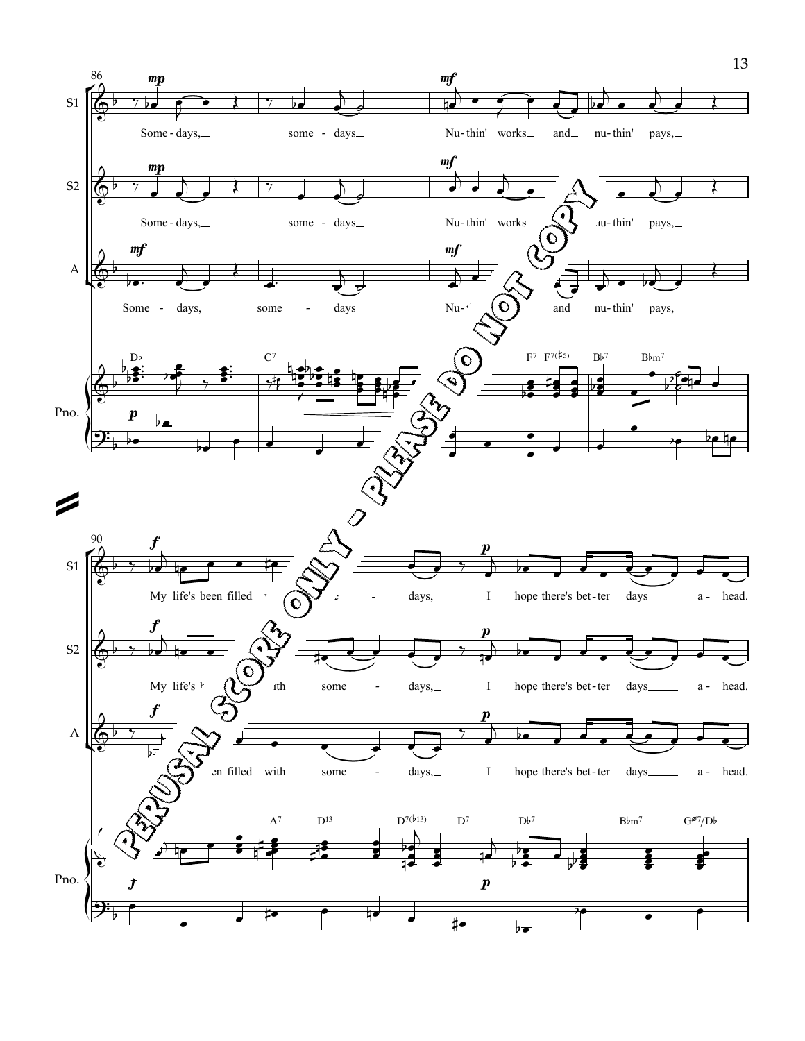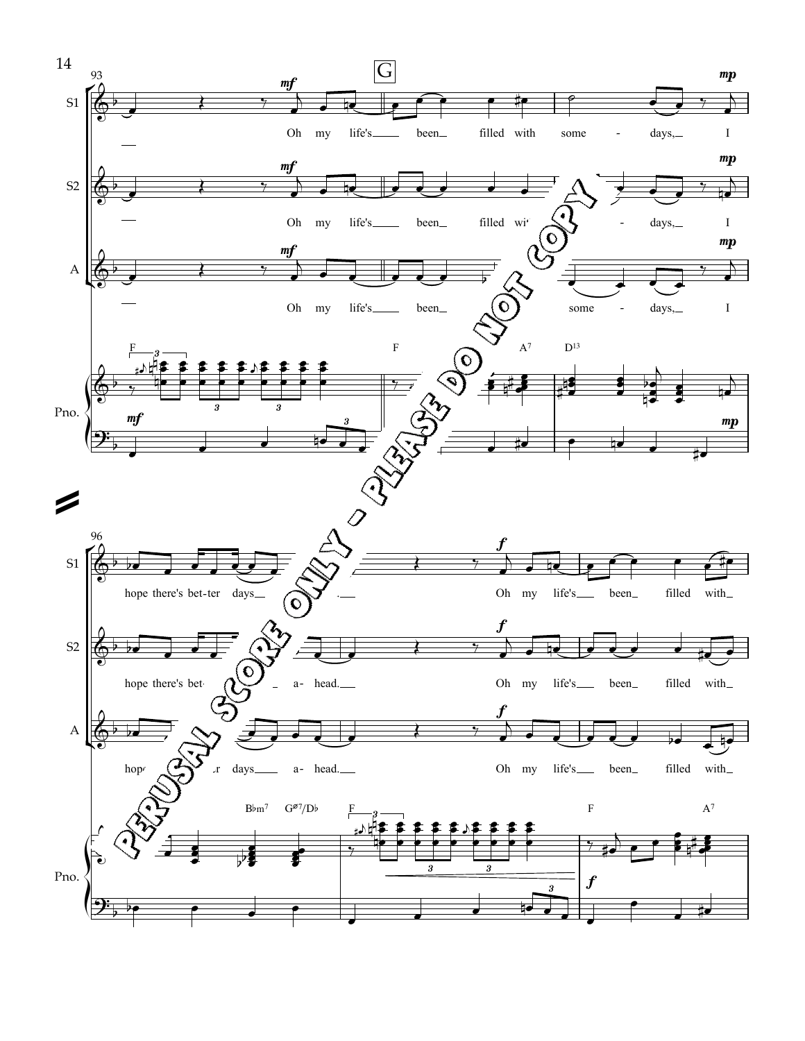